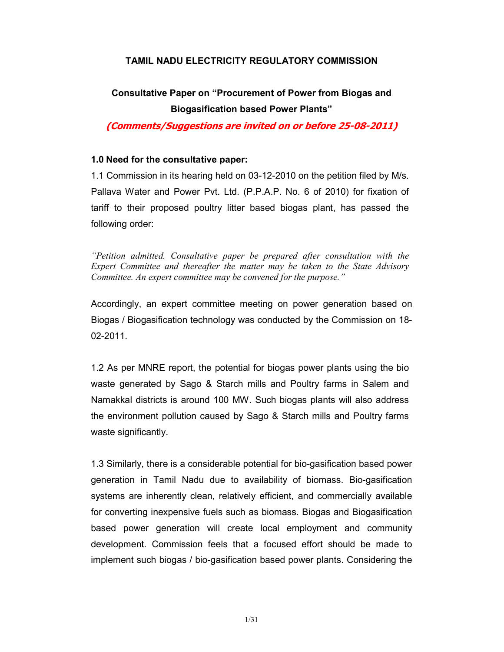# TAMIL NADU ELECTRICITY REGULATORY COMMISSION

# Consultative Paper on "Procurement of Power from Biogas and Biogasification based Power Plants"

(Comments/Suggestions are invited on or before 25-08-2011)

# 1.0 Need for the consultative paper:

1.1 Commission in its hearing held on 03-12-2010 on the petition filed by M/s. Pallava Water and Power Pvt. Ltd. (P.P.A.P. No. 6 of 2010) for fixation of tariff to their proposed poultry litter based biogas plant, has passed the following order:

"Petition admitted. Consultative paper be prepared after consultation with the Expert Committee and thereafter the matter may be taken to the State Advisory Committee. An expert committee may be convened for the purpose."

Accordingly, an expert committee meeting on power generation based on Biogas / Biogasification technology was conducted by the Commission on 18- 02-2011.

1.2 As per MNRE report, the potential for biogas power plants using the bio waste generated by Sago & Starch mills and Poultry farms in Salem and Namakkal districts is around 100 MW. Such biogas plants will also address the environment pollution caused by Sago & Starch mills and Poultry farms waste significantly.

1.3 Similarly, there is a considerable potential for bio-gasification based power generation in Tamil Nadu due to availability of biomass. Bio-gasification systems are inherently clean, relatively efficient, and commercially available for converting inexpensive fuels such as biomass. Biogas and Biogasification based power generation will create local employment and community development. Commission feels that a focused effort should be made to implement such biogas / bio-gasification based power plants. Considering the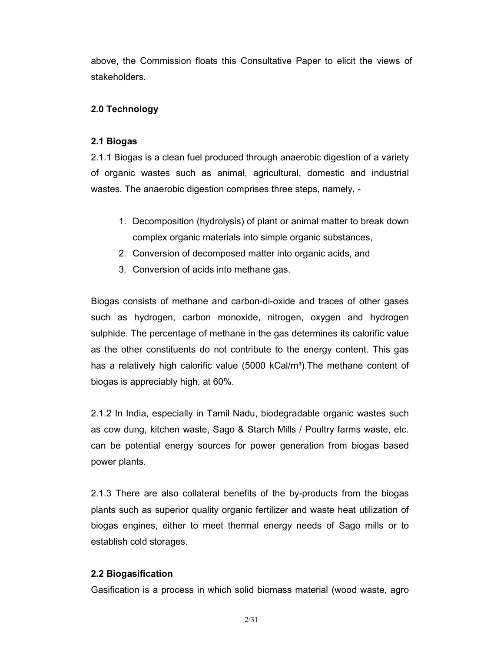above, the Commission floats this Consultative Paper to elicit the views of stakeholders.

# 2.0 Technology

# 2.1 Biogas

2.1.1 Biogas is a clean fuel produced through anaerobic digestion of a variety of organic wastes such as animal, agricultural, domestic and industrial wastes. The anaerobic digestion comprises three steps, namely, -

- 1. Decomposition (hydrolysis) of plant or animal matter to break down complex organic materials into simple organic substances,
- 2. Conversion of decomposed matter into organic acids, and
- 3. Conversion of acids into methane gas.

Biogas consists of methane and carbon-di-oxide and traces of other gases such as hydrogen, carbon monoxide, nitrogen, oxygen and hydrogen sulphide. The percentage of methane in the gas determines its calorific value as the other constituents do not contribute to the energy content. This gas has a relatively high calorific value  $(5000 \text{ kCal/m}^3)$ . The methane content of biogas is appreciably high, at 60%.

2.1.2 In India, especially in Tamil Nadu, biodegradable organic wastes such as cow dung, kitchen waste, Sago & Starch Mills / Poultry farms waste, etc. can be potential energy sources for power generation from biogas based power plants.

2.1.3 There are also collateral benefits of the by-products from the biogas plants such as superior quality organic fertilizer and waste heat utilization of biogas engines, either to meet thermal energy needs of Sago mills or to establish cold storages.

# 2.2 Biogasification

Gasification is a process in which solid biomass material (wood waste, agro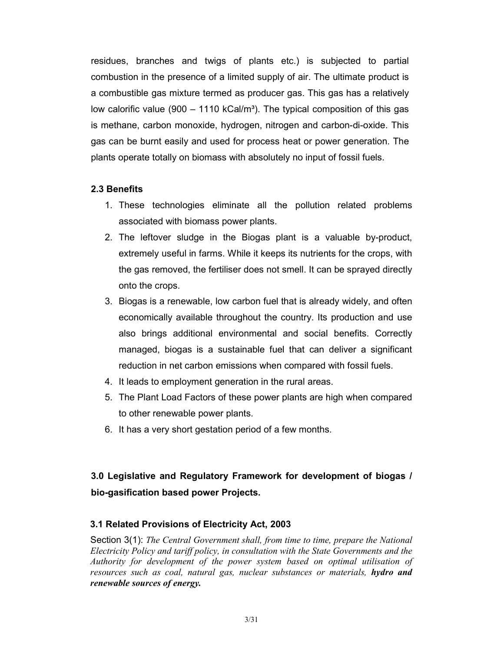residues, branches and twigs of plants etc.) is subjected to partial combustion in the presence of a limited supply of air. The ultimate product is a combustible gas mixture termed as producer gas. This gas has a relatively low calorific value (900 – 1110 kCal/ $m<sup>3</sup>$ ). The typical composition of this gas is methane, carbon monoxide, hydrogen, nitrogen and carbon-di-oxide. This gas can be burnt easily and used for process heat or power generation. The plants operate totally on biomass with absolutely no input of fossil fuels.

# 2.3 Benefits

- 1. These technologies eliminate all the pollution related problems associated with biomass power plants.
- 2. The leftover sludge in the Biogas plant is a valuable by-product, extremely useful in farms. While it keeps its nutrients for the crops, with the gas removed, the fertiliser does not smell. It can be sprayed directly onto the crops.
- 3. Biogas is a renewable, low carbon fuel that is already widely, and often economically available throughout the country. Its production and use also brings additional environmental and social benefits. Correctly managed, biogas is a sustainable fuel that can deliver a significant reduction in net carbon emissions when compared with fossil fuels.
- 4. It leads to employment generation in the rural areas.
- 5. The Plant Load Factors of these power plants are high when compared to other renewable power plants.
- 6. It has a very short gestation period of a few months.

# 3.0 Legislative and Regulatory Framework for development of biogas / bio-gasification based power Projects.

# 3.1 Related Provisions of Electricity Act, 2003

Section 3(1): The Central Government shall, from time to time, prepare the National Electricity Policy and tariff policy, in consultation with the State Governments and the Authority for development of the power system based on optimal utilisation of resources such as coal, natural gas, nuclear substances or materials, **hydro and** renewable sources of energy.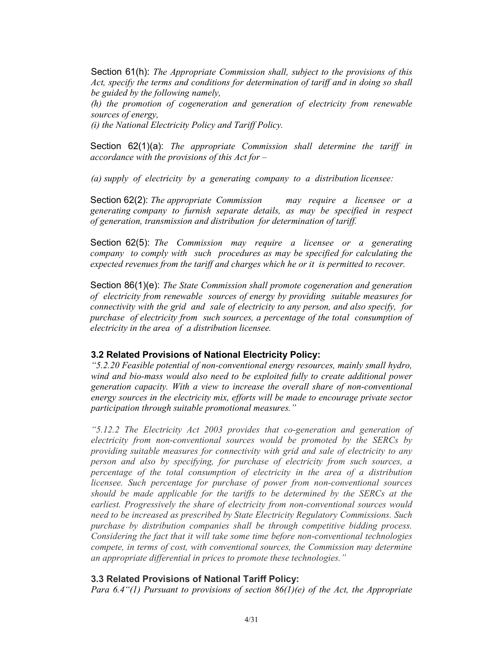Section 61(h): The Appropriate Commission shall, subject to the provisions of this Act, specify the terms and conditions for determination of tariff and in doing so shall be guided by the following namely,

(h) the promotion of cogeneration and generation of electricity from renewable sources of energy,

(i) the National Electricity Policy and Tariff Policy.

Section  $62(1)(a)$ : The appropriate Commission shall determine the tariff in accordance with the provisions of this  $Act$  for  $-$ 

(a) supply of electricity by a generating company to a distribution licensee:

Section 62(2): The appropriate Commission may require a licensee or a generating company to furnish separate details, as may be specified in respect of generation, transmission and distribution for determination of tariff.

Section 62(5): The Commission may require a licensee or a generating company to comply with such procedures as may be specified for calculating the expected revenues from the tariff and charges which he or it is permitted to recover.

Section 86(1)(e): The State Commission shall promote cogeneration and generation of electricity from renewable sources of energy by providing suitable measures for connectivity with the grid and sale of electricity to any person, and also specify, for purchase of electricity from such sources, a percentage of the total consumption of electricity in the area of a distribution licensee.

### 3.2 Related Provisions of National Electricity Policy:

"5.2.20 Feasible potential of non-conventional energy resources, mainly small hydro, wind and bio-mass would also need to be exploited fully to create additional power generation capacity. With a view to increase the overall share of non-conventional energy sources in the electricity mix, efforts will be made to encourage private sector participation through suitable promotional measures."

"5.12.2 The Electricity Act 2003 provides that co-generation and generation of electricity from non-conventional sources would be promoted by the SERCs by providing suitable measures for connectivity with grid and sale of electricity to any person and also by specifying, for purchase of electricity from such sources, a percentage of the total consumption of electricity in the area of a distribution licensee. Such percentage for purchase of power from non-conventional sources should be made applicable for the tariffs to be determined by the SERCs at the earliest. Progressively the share of electricity from non-conventional sources would need to be increased as prescribed by State Electricity Regulatory Commissions. Such purchase by distribution companies shall be through competitive bidding process. Considering the fact that it will take some time before non-conventional technologies compete, in terms of cost, with conventional sources, the Commission may determine an appropriate differential in prices to promote these technologies."

# 3.3 Related Provisions of National Tariff Policy:

Para 6.4"(1) Pursuant to provisions of section  $86(1)(e)$  of the Act, the Appropriate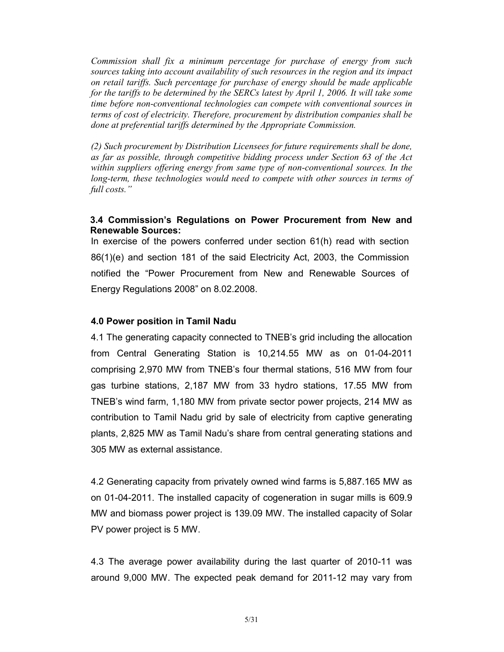Commission shall fix a minimum percentage for purchase of energy from such sources taking into account availability of such resources in the region and its impact on retail tariffs. Such percentage for purchase of energy should be made applicable for the tariffs to be determined by the SERCs latest by April 1, 2006. It will take some time before non-conventional technologies can compete with conventional sources in terms of cost of electricity. Therefore, procurement by distribution companies shall be done at preferential tariffs determined by the Appropriate Commission.

(2) Such procurement by Distribution Licensees for future requirements shall be done, as far as possible, through competitive bidding process under Section 63 of the Act within suppliers offering energy from same type of non-conventional sources. In the long-term, these technologies would need to compete with other sources in terms of full costs."

# 3.4 Commission's Regulations on Power Procurement from New and Renewable Sources:

In exercise of the powers conferred under section 61(h) read with section 86(1)(e) and section 181 of the said Electricity Act, 2003, the Commission notified the "Power Procurement from New and Renewable Sources of Energy Regulations 2008" on 8.02.2008.

#### 4.0 Power position in Tamil Nadu

4.1 The generating capacity connected to TNEB's grid including the allocation from Central Generating Station is 10,214.55 MW as on 01-04-2011 comprising 2,970 MW from TNEB's four thermal stations, 516 MW from four gas turbine stations, 2,187 MW from 33 hydro stations, 17.55 MW from TNEB's wind farm, 1,180 MW from private sector power projects, 214 MW as contribution to Tamil Nadu grid by sale of electricity from captive generating plants, 2,825 MW as Tamil Nadu's share from central generating stations and 305 MW as external assistance.

4.2 Generating capacity from privately owned wind farms is 5,887.165 MW as on 01-04-2011. The installed capacity of cogeneration in sugar mills is 609.9 MW and biomass power project is 139.09 MW. The installed capacity of Solar PV power project is 5 MW.

4.3 The average power availability during the last quarter of 2010-11 was around 9,000 MW. The expected peak demand for 2011-12 may vary from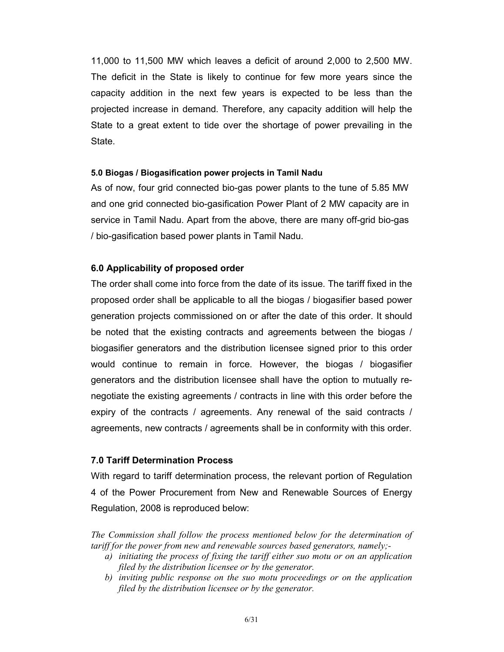11,000 to 11,500 MW which leaves a deficit of around 2,000 to 2,500 MW. The deficit in the State is likely to continue for few more years since the capacity addition in the next few years is expected to be less than the projected increase in demand. Therefore, any capacity addition will help the State to a great extent to tide over the shortage of power prevailing in the State.

### 5.0 Biogas / Biogasification power projects in Tamil Nadu

As of now, four grid connected bio-gas power plants to the tune of 5.85 MW and one grid connected bio-gasification Power Plant of 2 MW capacity are in service in Tamil Nadu. Apart from the above, there are many off-grid bio-gas / bio-gasification based power plants in Tamil Nadu.

# 6.0 Applicability of proposed order

The order shall come into force from the date of its issue. The tariff fixed in the proposed order shall be applicable to all the biogas / biogasifier based power generation projects commissioned on or after the date of this order. It should be noted that the existing contracts and agreements between the biogas / biogasifier generators and the distribution licensee signed prior to this order would continue to remain in force. However, the biogas / biogasifier generators and the distribution licensee shall have the option to mutually renegotiate the existing agreements / contracts in line with this order before the expiry of the contracts / agreements. Any renewal of the said contracts / agreements, new contracts / agreements shall be in conformity with this order.

# 7.0 Tariff Determination Process

With regard to tariff determination process, the relevant portion of Regulation 4 of the Power Procurement from New and Renewable Sources of Energy Regulation, 2008 is reproduced below:

The Commission shall follow the process mentioned below for the determination of tariff for the power from new and renewable sources based generators, namely;-

- a) initiating the process of fixing the tariff either suo motu or on an application filed by the distribution licensee or by the generator.
- b) inviting public response on the suo motu proceedings or on the application filed by the distribution licensee or by the generator.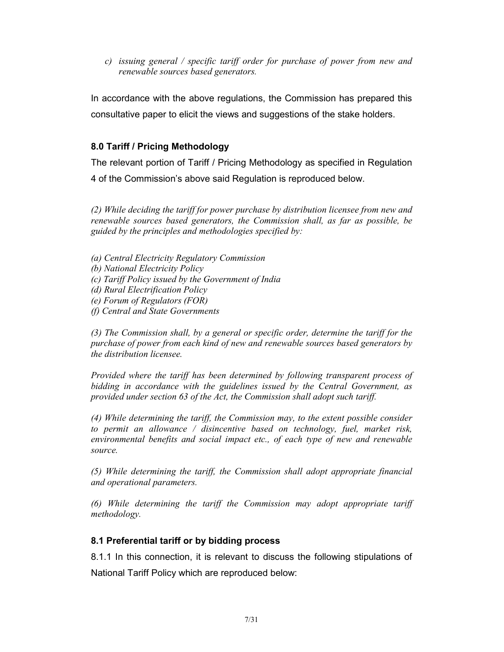c) issuing general / specific tariff order for purchase of power from new and renewable sources based generators.

In accordance with the above regulations, the Commission has prepared this consultative paper to elicit the views and suggestions of the stake holders.

# 8.0 Tariff / Pricing Methodology

The relevant portion of Tariff / Pricing Methodology as specified in Regulation 4 of the Commission's above said Regulation is reproduced below.

(2) While deciding the tariff for power purchase by distribution licensee from new and renewable sources based generators, the Commission shall, as far as possible, be guided by the principles and methodologies specified by:

(a) Central Electricity Regulatory Commission

- (b) National Electricity Policy
- (c) Tariff Policy issued by the Government of India
- (d) Rural Electrification Policy
- (e) Forum of Regulators (FOR)
- (f) Central and State Governments

(3) The Commission shall, by a general or specific order, determine the tariff for the purchase of power from each kind of new and renewable sources based generators by the distribution licensee.

Provided where the tariff has been determined by following transparent process of bidding in accordance with the guidelines issued by the Central Government, as provided under section 63 of the Act, the Commission shall adopt such tariff.

(4) While determining the tariff, the Commission may, to the extent possible consider to permit an allowance / disincentive based on technology, fuel, market risk, environmental benefits and social impact etc., of each type of new and renewable source.

(5) While determining the tariff, the Commission shall adopt appropriate financial and operational parameters.

(6) While determining the tariff the Commission may adopt appropriate tariff methodology.

# 8.1 Preferential tariff or by bidding process

8.1.1 In this connection, it is relevant to discuss the following stipulations of National Tariff Policy which are reproduced below: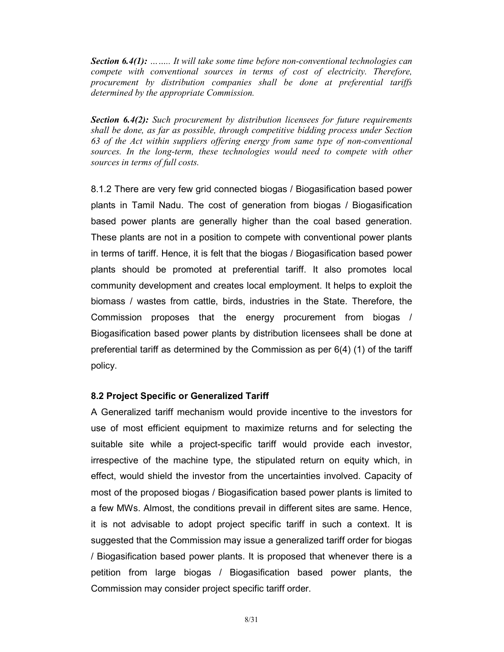Section 6.4(1): ........ It will take some time before non-conventional technologies can compete with conventional sources in terms of cost of electricity. Therefore, procurement by distribution companies shall be done at preferential tariffs determined by the appropriate Commission.

**Section 6.4(2):** Such procurement by distribution licensees for future requirements shall be done, as far as possible, through competitive bidding process under Section 63 of the Act within suppliers offering energy from same type of non-conventional sources. In the long-term, these technologies would need to compete with other sources in terms of full costs.

8.1.2 There are very few grid connected biogas / Biogasification based power plants in Tamil Nadu. The cost of generation from biogas / Biogasification based power plants are generally higher than the coal based generation. These plants are not in a position to compete with conventional power plants in terms of tariff. Hence, it is felt that the biogas / Biogasification based power plants should be promoted at preferential tariff. It also promotes local community development and creates local employment. It helps to exploit the biomass / wastes from cattle, birds, industries in the State. Therefore, the Commission proposes that the energy procurement from biogas / Biogasification based power plants by distribution licensees shall be done at preferential tariff as determined by the Commission as per 6(4) (1) of the tariff policy.

# 8.2 Project Specific or Generalized Tariff

A Generalized tariff mechanism would provide incentive to the investors for use of most efficient equipment to maximize returns and for selecting the suitable site while a project-specific tariff would provide each investor, irrespective of the machine type, the stipulated return on equity which, in effect, would shield the investor from the uncertainties involved. Capacity of most of the proposed biogas / Biogasification based power plants is limited to a few MWs. Almost, the conditions prevail in different sites are same. Hence, it is not advisable to adopt project specific tariff in such a context. It is suggested that the Commission may issue a generalized tariff order for biogas / Biogasification based power plants. It is proposed that whenever there is a petition from large biogas / Biogasification based power plants, the Commission may consider project specific tariff order.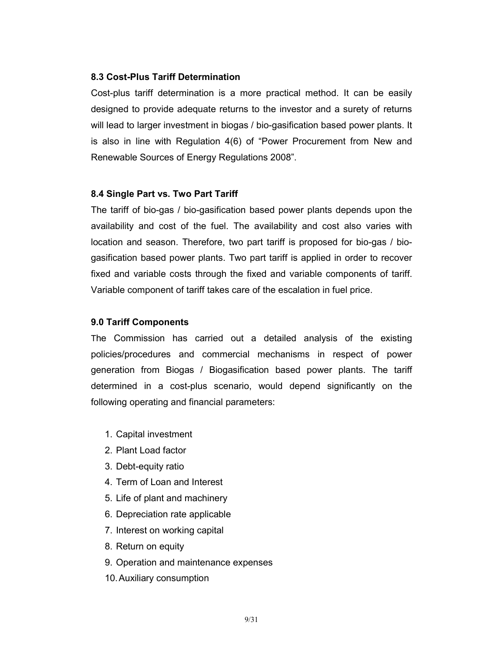# 8.3 Cost-Plus Tariff Determination

Cost-plus tariff determination is a more practical method. It can be easily designed to provide adequate returns to the investor and a surety of returns will lead to larger investment in biogas / bio-gasification based power plants. It is also in line with Regulation 4(6) of "Power Procurement from New and Renewable Sources of Energy Regulations 2008".

### 8.4 Single Part vs. Two Part Tariff

The tariff of bio-gas / bio-gasification based power plants depends upon the availability and cost of the fuel. The availability and cost also varies with location and season. Therefore, two part tariff is proposed for bio-gas / biogasification based power plants. Two part tariff is applied in order to recover fixed and variable costs through the fixed and variable components of tariff. Variable component of tariff takes care of the escalation in fuel price.

### 9.0 Tariff Components

The Commission has carried out a detailed analysis of the existing policies/procedures and commercial mechanisms in respect of power generation from Biogas / Biogasification based power plants. The tariff determined in a cost-plus scenario, would depend significantly on the following operating and financial parameters:

- 1. Capital investment
- 2. Plant Load factor
- 3. Debt-equity ratio
- 4. Term of Loan and Interest
- 5. Life of plant and machinery
- 6. Depreciation rate applicable
- 7. Interest on working capital
- 8. Return on equity
- 9. Operation and maintenance expenses
- 10. Auxiliary consumption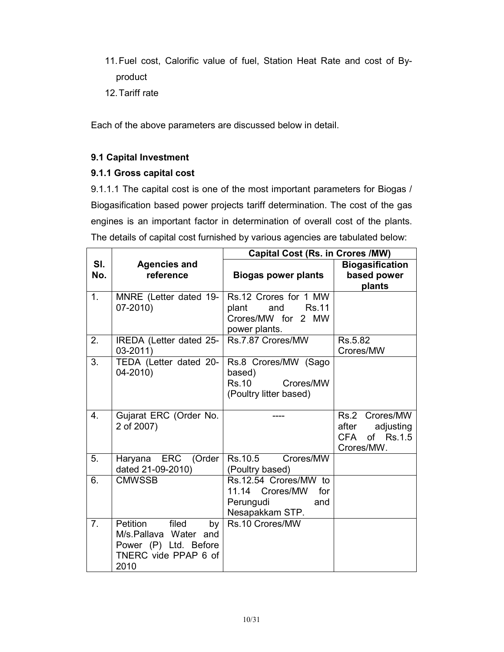- 11. Fuel cost, Calorific value of fuel, Station Heat Rate and cost of Byproduct
- 12. Tariff rate

Each of the above parameters are discussed below in detail.

# 9.1 Capital Investment

# 9.1.1 Gross capital cost

9.1.1.1 The capital cost is one of the most important parameters for Biogas / Biogasification based power projects tariff determination. The cost of the gas engines is an important factor in determination of overall cost of the plants. The details of capital cost furnished by various agencies are tabulated below:

|                  |                                                                                                           | <b>Capital Cost (Rs. in Crores /MW)</b>                                                      |                                                                     |  |
|------------------|-----------------------------------------------------------------------------------------------------------|----------------------------------------------------------------------------------------------|---------------------------------------------------------------------|--|
| SI.<br>No.       | <b>Agencies and</b><br>reference                                                                          | <b>Biogas power plants</b>                                                                   | <b>Biogasification</b><br>based power<br>plants                     |  |
| 1.               | MNRE (Letter dated 19-<br>07-2010)                                                                        | Rs.12 Crores for 1 MW<br>and<br><b>Rs.11</b><br>plant<br>Crores/MW for 2 MW<br>power plants. |                                                                     |  |
| 2.               | IREDA (Letter dated 25-<br>$03 - 2011$                                                                    | Rs.7.87 Crores/MW                                                                            | Rs.5.82<br>Crores/MW                                                |  |
| 3.               | TEDA (Letter dated 20-<br>$04 - 2010$                                                                     | Rs.8 Crores/MW (Sago<br>based)<br><b>Rs.10</b><br>Crores/MW<br>(Poultry litter based)        |                                                                     |  |
| $\overline{4}$ . | Gujarat ERC (Order No.<br>2 of 2007)                                                                      |                                                                                              | Rs.2 Crores/MW<br>adjusting<br>after<br>CFA of Rs.1.5<br>Crores/MW. |  |
| 5.               | Haryana ERC (Order<br>dated 21-09-2010)                                                                   | Rs.10.5 Crores/MW<br>(Poultry based)                                                         |                                                                     |  |
| 6.               | <b>CMWSSB</b>                                                                                             | Rs.12.54 Crores/MW to<br>11.14 Crores/MW<br>for<br>Perungudi<br>and<br>Nesapakkam STP.       |                                                                     |  |
| 7 <sub>1</sub>   | Petition<br>filed<br>by<br>M/s.Pallava Water and<br>Power (P) Ltd. Before<br>TNERC vide PPAP 6 of<br>2010 | Rs.10 Crores/MW                                                                              |                                                                     |  |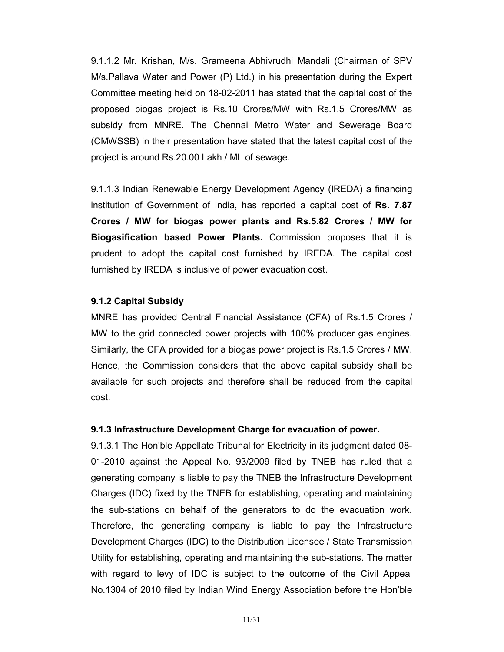9.1.1.2 Mr. Krishan, M/s. Grameena Abhivrudhi Mandali (Chairman of SPV M/s.Pallava Water and Power (P) Ltd.) in his presentation during the Expert Committee meeting held on 18-02-2011 has stated that the capital cost of the proposed biogas project is Rs.10 Crores/MW with Rs.1.5 Crores/MW as subsidy from MNRE. The Chennai Metro Water and Sewerage Board (CMWSSB) in their presentation have stated that the latest capital cost of the project is around Rs.20.00 Lakh / ML of sewage.

9.1.1.3 Indian Renewable Energy Development Agency (IREDA) a financing institution of Government of India, has reported a capital cost of Rs. 7.87 Crores / MW for biogas power plants and Rs.5.82 Crores / MW for Biogasification based Power Plants. Commission proposes that it is prudent to adopt the capital cost furnished by IREDA. The capital cost furnished by IREDA is inclusive of power evacuation cost.

# 9.1.2 Capital Subsidy

MNRE has provided Central Financial Assistance (CFA) of Rs.1.5 Crores / MW to the grid connected power projects with 100% producer gas engines. Similarly, the CFA provided for a biogas power project is Rs.1.5 Crores / MW. Hence, the Commission considers that the above capital subsidy shall be available for such projects and therefore shall be reduced from the capital cost.

### 9.1.3 Infrastructure Development Charge for evacuation of power.

9.1.3.1 The Hon'ble Appellate Tribunal for Electricity in its judgment dated 08- 01-2010 against the Appeal No. 93/2009 filed by TNEB has ruled that a generating company is liable to pay the TNEB the Infrastructure Development Charges (IDC) fixed by the TNEB for establishing, operating and maintaining the sub-stations on behalf of the generators to do the evacuation work. Therefore, the generating company is liable to pay the Infrastructure Development Charges (IDC) to the Distribution Licensee / State Transmission Utility for establishing, operating and maintaining the sub-stations. The matter with regard to levy of IDC is subject to the outcome of the Civil Appeal No.1304 of 2010 filed by Indian Wind Energy Association before the Hon'ble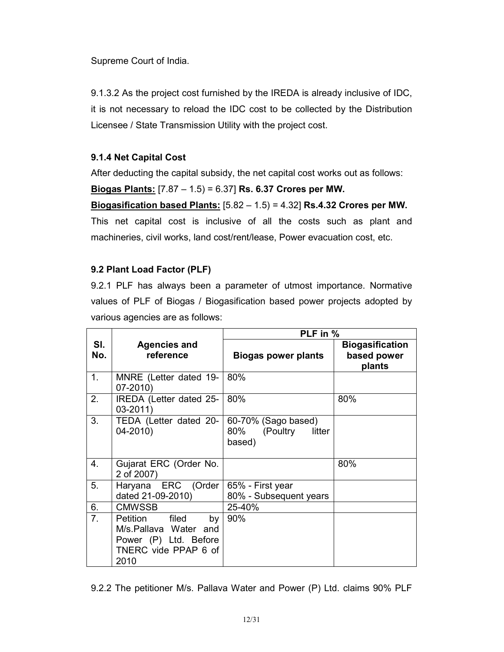Supreme Court of India.

9.1.3.2 As the project cost furnished by the IREDA is already inclusive of IDC, it is not necessary to reload the IDC cost to be collected by the Distribution Licensee / State Transmission Utility with the project cost.

# 9.1.4 Net Capital Cost

After deducting the capital subsidy, the net capital cost works out as follows:

# Biogas Plants: [7.87 – 1.5) = 6.37] Rs. 6.37 Crores per MW.

Biogasification based Plants:  $[5.82 - 1.5) = 4.32$ ] Rs.4.32 Crores per MW. This net capital cost is inclusive of all the costs such as plant and machineries, civil works, land cost/rent/lease, Power evacuation cost, etc.

# 9.2 Plant Load Factor (PLF)

9.2.1 PLF has always been a parameter of utmost importance. Normative values of PLF of Biogas / Biogasification based power projects adopted by various agencies are as follows:

|                |                                                                                                         | PLF in %                                                |                                                 |  |
|----------------|---------------------------------------------------------------------------------------------------------|---------------------------------------------------------|-------------------------------------------------|--|
| SI.<br>No.     | <b>Agencies and</b><br>reference                                                                        | <b>Biogas power plants</b>                              | <b>Biogasification</b><br>based power<br>plants |  |
| 1.             | MNRE (Letter dated 19-<br>$07 - 2010$                                                                   | 80%                                                     |                                                 |  |
| 2.             | IREDA (Letter dated 25-<br>$03 - 2011$                                                                  | 80%                                                     | 80%                                             |  |
| 3.             | TEDA (Letter dated 20-<br>$04 - 2010$                                                                   | 60-70% (Sago based)<br>80% (Poultry<br>litter<br>based) |                                                 |  |
| 4.             | Gujarat ERC (Order No.<br>2 of 2007)                                                                    |                                                         | 80%                                             |  |
| 5.             | Haryana ERC (Order<br>dated 21-09-2010)                                                                 | 65% - First year<br>80% - Subsequent years              |                                                 |  |
| 6.             | <b>CMWSSB</b>                                                                                           | 25-40%                                                  |                                                 |  |
| 7 <sub>1</sub> | Petition filed<br>by<br>M/s. Pallava Water and<br>Power (P) Ltd. Before<br>TNERC vide PPAP 6 of<br>2010 | 90%                                                     |                                                 |  |

<sup>9.2.2</sup> The petitioner M/s. Pallava Water and Power (P) Ltd. claims 90% PLF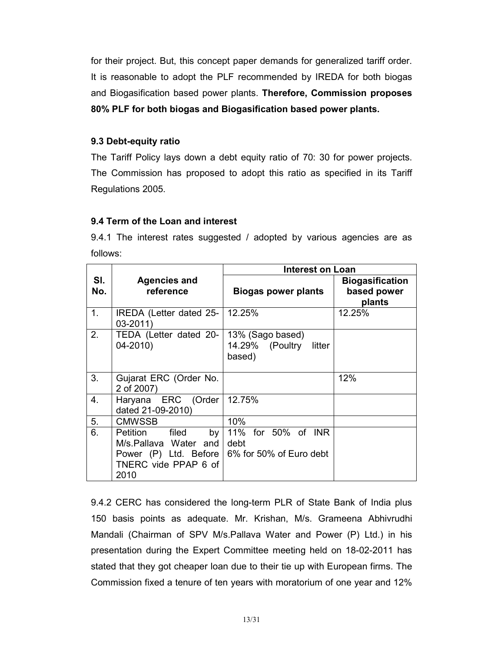for their project. But, this concept paper demands for generalized tariff order. It is reasonable to adopt the PLF recommended by IREDA for both biogas and Biogasification based power plants. Therefore, Commission proposes 80% PLF for both biogas and Biogasification based power plants.

# 9.3 Debt-equity ratio

The Tariff Policy lays down a debt equity ratio of 70: 30 for power projects. The Commission has proposed to adopt this ratio as specified in its Tariff Regulations 2005.

# 9.4 Term of the Loan and interest

9.4.1 The interest rates suggested / adopted by various agencies are as follows:

|            |                                                                                                           | <b>Interest on Loan</b>                                 |                                                 |
|------------|-----------------------------------------------------------------------------------------------------------|---------------------------------------------------------|-------------------------------------------------|
| SI.<br>No. | <b>Agencies and</b><br>reference                                                                          | <b>Biogas power plants</b>                              | <b>Biogasification</b><br>based power<br>plants |
| 1.         | IREDA (Letter dated 25-<br>$03 - 2011$                                                                    | 12.25%                                                  | 12.25%                                          |
| 2.         | TEDA (Letter dated 20-<br>$04 - 2010$                                                                     | 13% (Sago based)<br>14.29% (Poultry<br>litter<br>based) |                                                 |
| 3.         | Gujarat ERC (Order No.<br>2 of 2007)                                                                      |                                                         | 12%                                             |
| 4.         | Haryana ERC (Order<br>dated 21-09-2010)                                                                   | 12.75%                                                  |                                                 |
| 5.         | <b>CMWSSB</b>                                                                                             | 10%                                                     |                                                 |
| 6.         | Petition<br>filed<br>by<br>M/s.Pallava Water and<br>Power (P) Ltd. Before<br>TNERC vide PPAP 6 of<br>2010 | 11% for 50% of INR<br>debt<br>6% for 50% of Euro debt   |                                                 |

9.4.2 CERC has considered the long-term PLR of State Bank of India plus 150 basis points as adequate. Mr. Krishan, M/s. Grameena Abhivrudhi Mandali (Chairman of SPV M/s.Pallava Water and Power (P) Ltd.) in his presentation during the Expert Committee meeting held on 18-02-2011 has stated that they got cheaper loan due to their tie up with European firms. The Commission fixed a tenure of ten years with moratorium of one year and 12%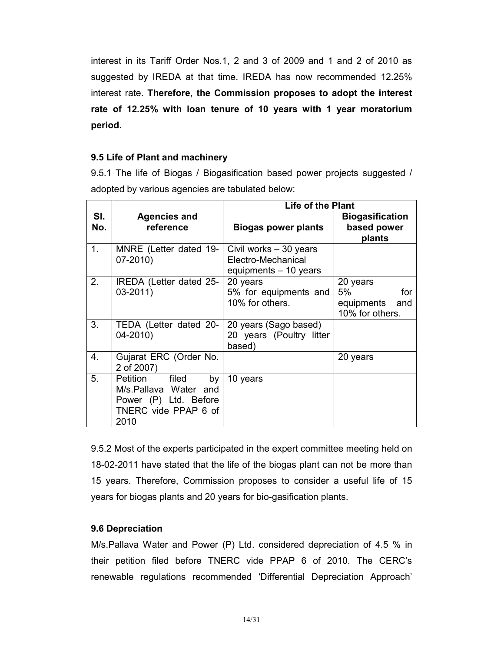interest in its Tariff Order Nos.1, 2 and 3 of 2009 and 1 and 2 of 2010 as suggested by IREDA at that time. IREDA has now recommended 12.25% interest rate. Therefore, the Commission proposes to adopt the interest rate of 12.25% with loan tenure of 10 years with 1 year moratorium period.

# 9.5 Life of Plant and machinery

9.5.1 The life of Biogas / Biogasification based power projects suggested / adopted by various agencies are tabulated below:

|            |                                                                                                           | <b>Life of the Plant</b>                                              |                                                            |  |
|------------|-----------------------------------------------------------------------------------------------------------|-----------------------------------------------------------------------|------------------------------------------------------------|--|
| SI.<br>No. | <b>Agencies and</b><br>reference                                                                          | <b>Biogas power plants</b>                                            | <b>Biogasification</b><br>based power<br>plants            |  |
| 1.         | MNRE (Letter dated 19-<br>$07 - 2010$                                                                     | Civil works - 30 years<br>Electro-Mechanical<br>equipments - 10 years |                                                            |  |
| 2.         | IREDA (Letter dated 25-<br>$03 - 2011$                                                                    | 20 years<br>5% for equipments and<br>10% for others.                  | 20 years<br>5%<br>for<br>equipments and<br>10% for others. |  |
| 3.         | TEDA (Letter dated 20-<br>04-2010)                                                                        | 20 years (Sago based)<br>20 years (Poultry litter<br>based)           |                                                            |  |
| 4.         | Gujarat ERC (Order No.<br>2 of 2007)                                                                      |                                                                       | 20 years                                                   |  |
| 5.         | Petition<br>filed<br>by<br>M/s.Pallava Water and<br>Power (P) Ltd. Before<br>TNERC vide PPAP 6 of<br>2010 | 10 years                                                              |                                                            |  |

9.5.2 Most of the experts participated in the expert committee meeting held on 18-02-2011 have stated that the life of the biogas plant can not be more than 15 years. Therefore, Commission proposes to consider a useful life of 15 years for biogas plants and 20 years for bio-gasification plants.

# 9.6 Depreciation

M/s.Pallava Water and Power (P) Ltd. considered depreciation of 4.5 % in their petition filed before TNERC vide PPAP 6 of 2010. The CERC's renewable regulations recommended 'Differential Depreciation Approach'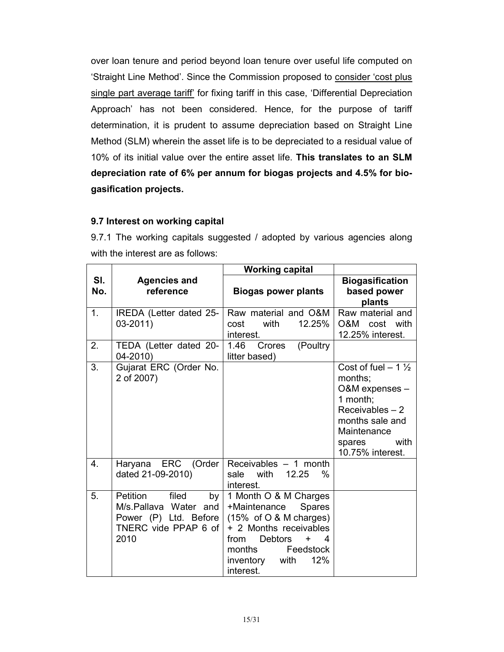over loan tenure and period beyond loan tenure over useful life computed on 'Straight Line Method'. Since the Commission proposed to consider 'cost plus single part average tariff' for fixing tariff in this case, 'Differential Depreciation Approach' has not been considered. Hence, for the purpose of tariff determination, it is prudent to assume depreciation based on Straight Line Method (SLM) wherein the asset life is to be depreciated to a residual value of 10% of its initial value over the entire asset life. This translates to an SLM depreciation rate of 6% per annum for biogas projects and 4.5% for biogasification projects.

# 9.7 Interest on working capital

9.7.1 The working capitals suggested / adopted by various agencies along with the interest are as follows:

|            |                                                                                                              | <b>Working capital</b>                                                                                                                                                                                                                     |                                                                                                                                                                   |
|------------|--------------------------------------------------------------------------------------------------------------|--------------------------------------------------------------------------------------------------------------------------------------------------------------------------------------------------------------------------------------------|-------------------------------------------------------------------------------------------------------------------------------------------------------------------|
| SI.<br>No. | <b>Agencies and</b><br>reference                                                                             | <b>Biogas power plants</b>                                                                                                                                                                                                                 | <b>Biogasification</b><br>based power<br>plants                                                                                                                   |
| 1.         | IREDA (Letter dated 25-<br>03-2011)                                                                          | Raw material and O&M<br>with<br>12.25%<br>cost<br>interest.                                                                                                                                                                                | Raw material and<br>O&M<br>cost<br>with<br>12.25% interest.                                                                                                       |
| 2.         | TEDA (Letter dated 20-<br>04-2010)                                                                           | (Poultry<br>1.46<br>Crores<br>litter based)                                                                                                                                                                                                |                                                                                                                                                                   |
| 3.         | Gujarat ERC (Order No.<br>2 of 2007)                                                                         |                                                                                                                                                                                                                                            | Cost of fuel $-1\frac{1}{2}$<br>months;<br>O&M expenses -<br>1 month;<br>Receivables $-2$<br>months sale and<br>Maintenance<br>with<br>spares<br>10.75% interest. |
| 4.         | Haryana ERC (Order<br>dated 21-09-2010)                                                                      | Receivables - 1 month<br>with<br>12.25<br>sale<br>%<br>interest.                                                                                                                                                                           |                                                                                                                                                                   |
| 5.         | filed<br>Petition<br>by<br>Water and<br>M/s.Pallava<br>Power (P) Ltd. Before<br>TNERC vide PPAP 6 of<br>2010 | 1 Month O & M Charges<br>+Maintenance<br><b>Spares</b><br>$(15\% \text{ of } O & M \text{ charges})$<br>+ 2 Months receivables<br><b>Debtors</b><br>from<br>4<br>$\ddot{}$<br>months<br>Feedstock<br>12%<br>inventory<br>with<br>interest. |                                                                                                                                                                   |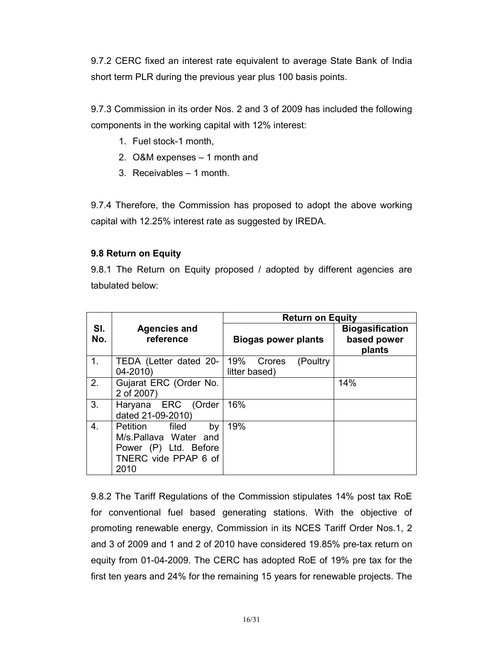9.7.2 CERC fixed an interest rate equivalent to average State Bank of India short term PLR during the previous year plus 100 basis points.

9.7.3 Commission in its order Nos. 2 and 3 of 2009 has included the following components in the working capital with 12% interest:

- 1. Fuel stock-1 month,
- 2. O&M expenses 1 month and
- 3. Receivables 1 month.

9.7.4 Therefore, the Commission has proposed to adopt the above working capital with 12.25% interest rate as suggested by IREDA.

# 9.8 Return on Equity

9.8.1 The Return on Equity proposed / adopted by different agencies are tabulated below:

|                |                                                                                                           | <b>Return on Equity</b>                     |                                                 |  |
|----------------|-----------------------------------------------------------------------------------------------------------|---------------------------------------------|-------------------------------------------------|--|
| SI.<br>No.     | <b>Agencies and</b><br>reference                                                                          | <b>Biogas power plants</b>                  | <b>Biogasification</b><br>based power<br>plants |  |
| 1 <sub>1</sub> | TEDA (Letter dated 20-<br>$04 - 2010$                                                                     | 19%<br>(Poultry)<br>Crores<br>litter based) |                                                 |  |
| 2.             | Gujarat ERC (Order No.<br>2 of 2007)                                                                      |                                             | 14%                                             |  |
| 3.             | Haryana ERC (Order<br>dated 21-09-2010)                                                                   | 16%                                         |                                                 |  |
| 4.             | filed<br>Petition<br>by<br>M/s.Pallava Water and<br>Power (P) Ltd. Before<br>TNERC vide PPAP 6 of<br>2010 | 19%                                         |                                                 |  |

9.8.2 The Tariff Regulations of the Commission stipulates 14% post tax RoE for conventional fuel based generating stations. With the objective of promoting renewable energy, Commission in its NCES Tariff Order Nos.1, 2 and 3 of 2009 and 1 and 2 of 2010 have considered 19.85% pre-tax return on equity from 01-04-2009. The CERC has adopted RoE of 19% pre tax for the first ten years and 24% for the remaining 15 years for renewable projects. The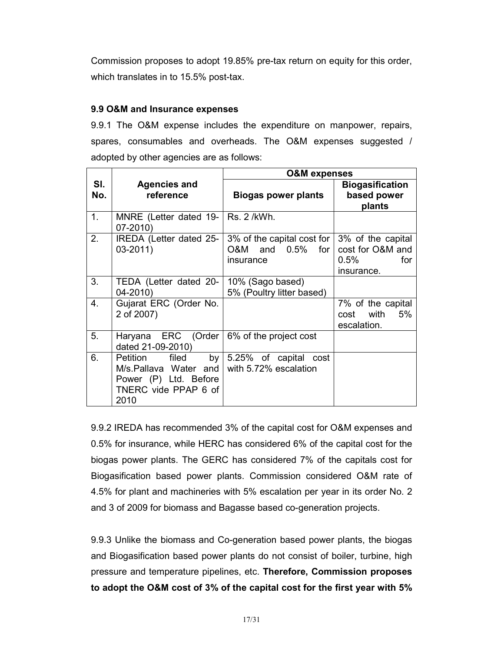Commission proposes to adopt 19.85% pre-tax return on equity for this order, which translates in to 15.5% post-tax.

# 9.9 O&M and Insurance expenses

9.9.1 The O&M expense includes the expenditure on manpower, repairs, spares, consumables and overheads. The O&M expenses suggested / adopted by other agencies are as follows:

|            |                                                                                                           | <b>O&amp;M</b> expenses                                            |                                                                       |  |
|------------|-----------------------------------------------------------------------------------------------------------|--------------------------------------------------------------------|-----------------------------------------------------------------------|--|
| SI.<br>No. | <b>Agencies and</b><br>reference                                                                          | <b>Biogas power plants</b>                                         | <b>Biogasification</b><br>based power<br>plants                       |  |
| 1.         | MNRE (Letter dated 19-<br>$07 - 2010$                                                                     | Rs. 2 /kWh.                                                        |                                                                       |  |
| 2.         | IREDA (Letter dated 25-<br>$03 - 2011$                                                                    | 3% of the capital cost for  <br>$O&M$ and $O.5\%$ for<br>insurance | 3% of the capital<br>cost for O&M and<br>$0.5\%$<br>for<br>insurance. |  |
| 3.         | TEDA (Letter dated 20-<br>$04 - 2010$                                                                     | 10% (Sago based)<br>5% (Poultry litter based)                      |                                                                       |  |
| 4.         | Gujarat ERC (Order No.<br>2 of 2007)                                                                      |                                                                    | 7% of the capital<br>with<br>5%<br>cost<br>escalation.                |  |
| 5.         | Haryana ERC (Order<br>dated 21-09-2010)                                                                   | 6% of the project cost                                             |                                                                       |  |
| 6.         | filed<br>by<br>Petition<br>M/s.Pallava Water and<br>Power (P) Ltd. Before<br>TNERC vide PPAP 6 of<br>2010 | 5.25% of capital cost<br>with 5.72% escalation                     |                                                                       |  |

9.9.2 IREDA has recommended 3% of the capital cost for O&M expenses and 0.5% for insurance, while HERC has considered 6% of the capital cost for the biogas power plants. The GERC has considered 7% of the capitals cost for Biogasification based power plants. Commission considered O&M rate of 4.5% for plant and machineries with 5% escalation per year in its order No. 2 and 3 of 2009 for biomass and Bagasse based co-generation projects.

9.9.3 Unlike the biomass and Co-generation based power plants, the biogas and Biogasification based power plants do not consist of boiler, turbine, high pressure and temperature pipelines, etc. Therefore, Commission proposes to adopt the O&M cost of 3% of the capital cost for the first year with 5%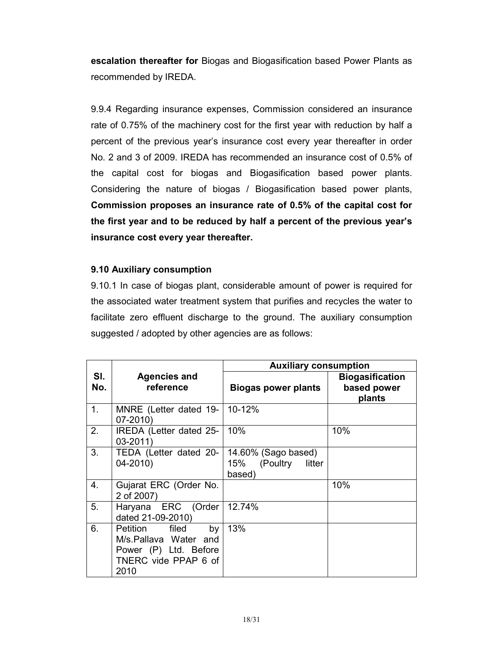escalation thereafter for Biogas and Biogasification based Power Plants as recommended by IREDA.

9.9.4 Regarding insurance expenses, Commission considered an insurance rate of 0.75% of the machinery cost for the first year with reduction by half a percent of the previous year's insurance cost every year thereafter in order No. 2 and 3 of 2009. IREDA has recommended an insurance cost of 0.5% of the capital cost for biogas and Biogasification based power plants. Considering the nature of biogas / Biogasification based power plants, Commission proposes an insurance rate of 0.5% of the capital cost for the first year and to be reduced by half a percent of the previous year's insurance cost every year thereafter.

# 9.10 Auxiliary consumption

9.10.1 In case of biogas plant, considerable amount of power is required for the associated water treatment system that purifies and recycles the water to facilitate zero effluent discharge to the ground. The auxiliary consumption suggested / adopted by other agencies are as follows:

|            |                                                                                                        | <b>Auxiliary consumption</b>                            |                                                 |  |
|------------|--------------------------------------------------------------------------------------------------------|---------------------------------------------------------|-------------------------------------------------|--|
| SI.<br>No. | <b>Agencies and</b><br>reference                                                                       | <b>Biogas power plants</b>                              | <b>Biogasification</b><br>based power<br>plants |  |
| 1.         | MNRE (Letter dated 19-   10-12%<br>$07 - 2010$                                                         |                                                         |                                                 |  |
| 2.         | IREDA (Letter dated 25-<br>$03 - 2011$                                                                 | 10%                                                     | 10%                                             |  |
| 3.         | TEDA (Letter dated 20-<br>$04 - 2010$                                                                  | 14.60% (Sago based)<br>15% (Poultry<br>litter<br>based) |                                                 |  |
| 4.         | Gujarat ERC (Order No.<br>2 of 2007)                                                                   |                                                         | 10%                                             |  |
| 5.         | Haryana ERC (Order 12.74%<br>dated 21-09-2010)                                                         |                                                         |                                                 |  |
| 6.         | Petition filed<br>by<br>M/s.Pallava Water and<br>Power (P) Ltd. Before<br>TNERC vide PPAP 6 of<br>2010 | 13%                                                     |                                                 |  |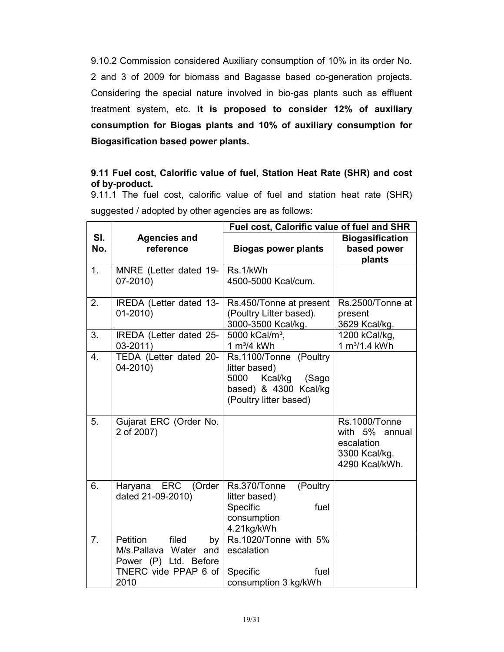9.10.2 Commission considered Auxiliary consumption of 10% in its order No. 2 and 3 of 2009 for biomass and Bagasse based co-generation projects. Considering the special nature involved in bio-gas plants such as effluent treatment system, etc. it is proposed to consider 12% of auxiliary consumption for Biogas plants and 10% of auxiliary consumption for Biogasification based power plants.

# 9.11 Fuel cost, Calorific value of fuel, Station Heat Rate (SHR) and cost of by-product.

9.11.1 The fuel cost, calorific value of fuel and station heat rate (SHR) suggested / adopted by other agencies are as follows:

|                |                                                                                                           | Fuel cost, Calorific value of fuel and SHR                                                                          |                                                                                         |  |
|----------------|-----------------------------------------------------------------------------------------------------------|---------------------------------------------------------------------------------------------------------------------|-----------------------------------------------------------------------------------------|--|
| SI.<br>No.     | <b>Agencies and</b><br>reference                                                                          | <b>Biogas power plants</b>                                                                                          | <b>Biogasification</b><br>based power<br>plants                                         |  |
| 1 <sub>1</sub> | MNRE (Letter dated 19-<br>$07 - 2010$                                                                     | Rs.1/kWh<br>4500-5000 Kcal/cum.                                                                                     |                                                                                         |  |
| 2.             | IREDA (Letter dated 13-<br>$01 - 2010$                                                                    | Rs.450/Tonne at present<br>(Poultry Litter based).<br>3000-3500 Kcal/kg.                                            | Rs.2500/Tonne at<br>present<br>3629 Kcal/kg.                                            |  |
| 3.             | IREDA (Letter dated 25-<br>$03 - 2011$                                                                    | 5000 kCal/m <sup>3</sup> ,<br>$1 m3/4$ kWh                                                                          | 1200 kCal/kg,<br>1 m <sup>3</sup> /1.4 kWh                                              |  |
| 4.             | TEDA (Letter dated 20-<br>04-2010)                                                                        | Rs.1100/Tonne (Poultry<br>litter based)<br>5000<br>Kcal/kg (Sago<br>based) & 4300 Kcal/kg<br>(Poultry litter based) |                                                                                         |  |
| 5.             | Gujarat ERC (Order No.<br>2 of 2007)                                                                      |                                                                                                                     | <b>Rs.1000/Tonne</b><br>with 5% annual<br>escalation<br>3300 Kcal/kg.<br>4290 Kcal/kWh. |  |
| 6.             | Haryana ERC (Order<br>dated 21-09-2010)                                                                   | Rs.370/Tonne<br>(Poultry<br>litter based)<br>fuel<br>Specific<br>consumption<br>4.21kg/kWh                          |                                                                                         |  |
| 7 <sub>1</sub> | filed<br>Petition<br>by<br>M/s.Pallava Water and<br>Power (P) Ltd. Before<br>TNERC vide PPAP 6 of<br>2010 | Rs.1020/Tonne with 5%<br>escalation<br>Specific<br>fuel<br>consumption 3 kg/kWh                                     |                                                                                         |  |
|                |                                                                                                           |                                                                                                                     |                                                                                         |  |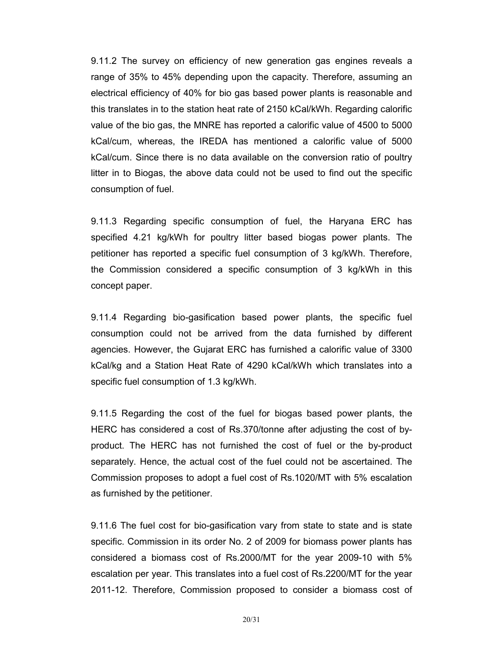9.11.2 The survey on efficiency of new generation gas engines reveals a range of 35% to 45% depending upon the capacity. Therefore, assuming an electrical efficiency of 40% for bio gas based power plants is reasonable and this translates in to the station heat rate of 2150 kCal/kWh. Regarding calorific value of the bio gas, the MNRE has reported a calorific value of 4500 to 5000 kCal/cum, whereas, the IREDA has mentioned a calorific value of 5000 kCal/cum. Since there is no data available on the conversion ratio of poultry litter in to Biogas, the above data could not be used to find out the specific consumption of fuel.

9.11.3 Regarding specific consumption of fuel, the Haryana ERC has specified 4.21 kg/kWh for poultry litter based biogas power plants. The petitioner has reported a specific fuel consumption of 3 kg/kWh. Therefore, the Commission considered a specific consumption of 3 kg/kWh in this concept paper.

9.11.4 Regarding bio-gasification based power plants, the specific fuel consumption could not be arrived from the data furnished by different agencies. However, the Gujarat ERC has furnished a calorific value of 3300 kCal/kg and a Station Heat Rate of 4290 kCal/kWh which translates into a specific fuel consumption of 1.3 kg/kWh.

9.11.5 Regarding the cost of the fuel for biogas based power plants, the HERC has considered a cost of Rs.370/tonne after adjusting the cost of byproduct. The HERC has not furnished the cost of fuel or the by-product separately. Hence, the actual cost of the fuel could not be ascertained. The Commission proposes to adopt a fuel cost of Rs.1020/MT with 5% escalation as furnished by the petitioner.

9.11.6 The fuel cost for bio-gasification vary from state to state and is state specific. Commission in its order No. 2 of 2009 for biomass power plants has considered a biomass cost of Rs.2000/MT for the year 2009-10 with 5% escalation per year. This translates into a fuel cost of Rs.2200/MT for the year 2011-12. Therefore, Commission proposed to consider a biomass cost of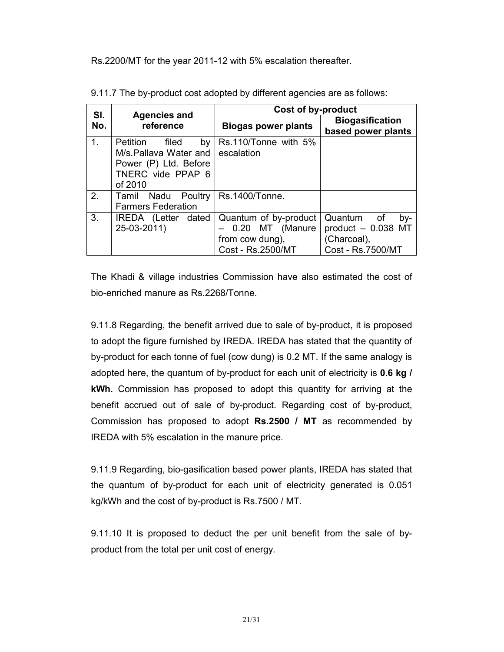Rs.2200/MT for the year 2011-12 with 5% escalation thereafter.

| SI. |                                                                                                                               | Cost of by-product                                                                 |                                                                              |
|-----|-------------------------------------------------------------------------------------------------------------------------------|------------------------------------------------------------------------------------|------------------------------------------------------------------------------|
| No. | <b>Agencies and</b><br>reference                                                                                              | <b>Biogas power plants</b>                                                         | <b>Biogasification</b><br>based power plants                                 |
| 1.  | <b>Petition</b><br>filed<br>by <sub>l</sub><br>M/s.Pallava Water and<br>Power (P) Ltd. Before<br>TNERC vide PPAP 6<br>of 2010 | Rs.110/Tonne with 5%<br>escalation                                                 |                                                                              |
| 2.  | Tamil Nadu Poultry<br><b>Farmers Federation</b>                                                                               | Rs.1400/Tonne.                                                                     |                                                                              |
| 3.  | IREDA (Letter dated<br>25-03-2011)                                                                                            | Quantum of by-product<br>- 0.20 MT (Manure<br>from cow dung),<br>Cost - Rs.2500/MT | Quantum of<br>by-<br>product $-0.038$ MT<br>(Charcoal),<br>Cost - Rs.7500/MT |

9.11.7 The by-product cost adopted by different agencies are as follows:

The Khadi & village industries Commission have also estimated the cost of bio-enriched manure as Rs.2268/Tonne.

9.11.8 Regarding, the benefit arrived due to sale of by-product, it is proposed to adopt the figure furnished by IREDA. IREDA has stated that the quantity of by-product for each tonne of fuel (cow dung) is 0.2 MT. If the same analogy is adopted here, the quantum of by-product for each unit of electricity is **0.6 kg** / kWh. Commission has proposed to adopt this quantity for arriving at the benefit accrued out of sale of by-product. Regarding cost of by-product, Commission has proposed to adopt Rs.2500 / MT as recommended by IREDA with 5% escalation in the manure price.

9.11.9 Regarding, bio-gasification based power plants, IREDA has stated that the quantum of by-product for each unit of electricity generated is 0.051 kg/kWh and the cost of by-product is Rs.7500 / MT.

9.11.10 It is proposed to deduct the per unit benefit from the sale of byproduct from the total per unit cost of energy.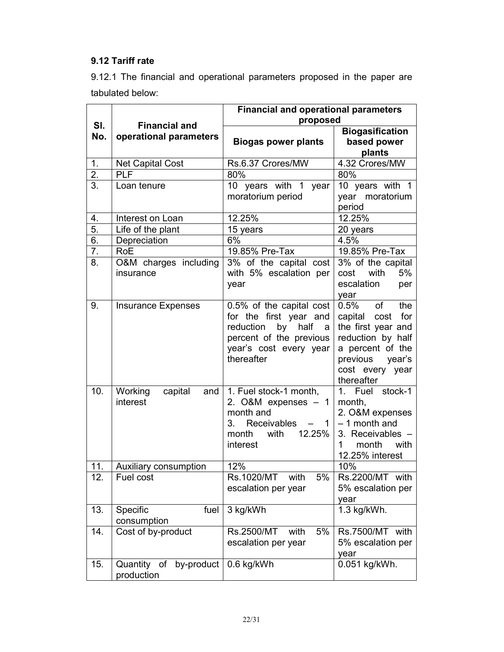# 9.12 Tariff rate

9.12.1 The financial and operational parameters proposed in the paper are tabulated below:

|                  |                                       | <b>Financial and operational parameters</b>                                                                                                           |                                                                                                                                                             |  |
|------------------|---------------------------------------|-------------------------------------------------------------------------------------------------------------------------------------------------------|-------------------------------------------------------------------------------------------------------------------------------------------------------------|--|
| SI.              | <b>Financial and</b>                  | proposed                                                                                                                                              |                                                                                                                                                             |  |
| No.              | operational parameters                | <b>Biogas power plants</b>                                                                                                                            | <b>Biogasification</b><br>based power<br>plants                                                                                                             |  |
| 1.               | Net Capital Cost                      | Rs.6.37 Crores/MW                                                                                                                                     | 4.32 Crores/MW                                                                                                                                              |  |
| $\overline{2}$ . | <b>PLF</b>                            | 80%                                                                                                                                                   | 80%                                                                                                                                                         |  |
| 3.               | Loan tenure                           | 10 years with 1<br>year<br>moratorium period                                                                                                          | 10 years with 1<br>year moratorium<br>period                                                                                                                |  |
| 4.               | Interest on Loan                      | 12.25%                                                                                                                                                | 12.25%                                                                                                                                                      |  |
| 5.               | Life of the plant                     | 15 years                                                                                                                                              | 20 years                                                                                                                                                    |  |
| 6.               | Depreciation                          | 6%                                                                                                                                                    | 4.5%                                                                                                                                                        |  |
| $\overline{7}$ . | <b>RoE</b>                            | 19.85% Pre-Tax                                                                                                                                        | 19.85% Pre-Tax                                                                                                                                              |  |
| 8.               | O&M charges including<br>insurance    | $\overline{3\%}$ of the capital cost<br>with 5% escalation per<br>year                                                                                | 3% of the capital<br>5%<br>cost<br>with<br>escalation<br>per<br>year                                                                                        |  |
| 9.               | <b>Insurance Expenses</b>             | 0.5% of the capital cost<br>for the first year and<br>reduction<br>by<br>half<br>a<br>percent of the previous<br>year's cost every year<br>thereafter | 0.5%<br>of<br>the<br>capital cost for<br>the first year and<br>reduction by half<br>a percent of the<br>previous<br>year's<br>cost every year<br>thereafter |  |
| 10.              | Working<br>capital<br>and<br>interest | 1. Fuel stock-1 month,<br>2. O&M expenses $-1$<br>month and<br>Receivables<br>3.<br>$-1$<br>12.25%<br>month<br>with<br>interest                       | 1. Fuel stock-1<br>month,<br>2. O&M expenses<br>$-1$ month and<br>3. Receivables -<br>1<br>month<br>with<br>12.25% interest                                 |  |
| 11.              | Auxiliary consumption                 | 12%                                                                                                                                                   | 10%                                                                                                                                                         |  |
| 12.              | Fuel cost                             | Rs.1020/MT<br>with<br>5%<br>escalation per year                                                                                                       | Rs.2200/MT with<br>5% escalation per<br>year                                                                                                                |  |
| 13.              | Specific<br>fuel<br>consumption       | 3 kg/kWh                                                                                                                                              | 1.3 kg/kWh.                                                                                                                                                 |  |
| 14.              | Cost of by-product                    | 5%<br>Rs.2500/MT<br>with<br>escalation per year                                                                                                       | Rs.7500/MT with<br>5% escalation per<br>year                                                                                                                |  |
| 15.              | Quantity of by-product<br>production  | 0.6 kg/kWh                                                                                                                                            | 0.051 kg/kWh.                                                                                                                                               |  |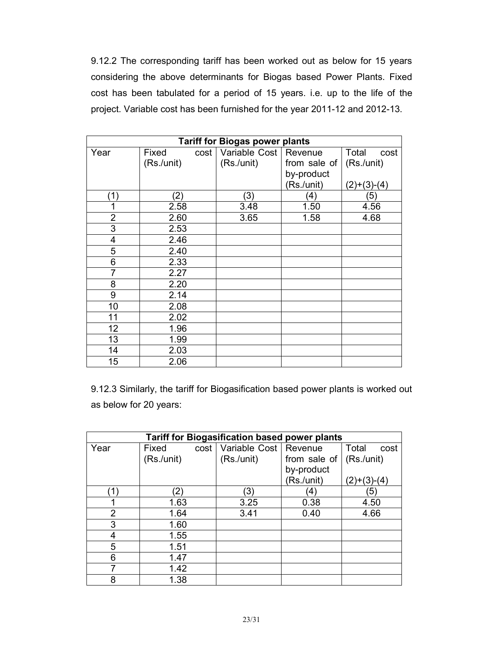9.12.2 The corresponding tariff has been worked out as below for 15 years considering the above determinants for Biogas based Power Plants. Fixed cost has been tabulated for a period of 15 years. i.e. up to the life of the project. Variable cost has been furnished for the year 2011-12 and 2012-13.

|                 | <b>Tariff for Biogas power plants</b> |               |              |               |  |
|-----------------|---------------------------------------|---------------|--------------|---------------|--|
| Year            | Fixed<br>cost                         | Variable Cost | Revenue      | Total<br>cost |  |
|                 | (Rs./unit)                            | (Rs./unit)    | from sale of | (Rs./unit)    |  |
|                 |                                       |               | by-product   |               |  |
|                 |                                       |               | (Rs./unit)   | $(2)+(3)-(4)$ |  |
| (1)             | (2)                                   | (3)           | (4)          | (5)           |  |
| 1               | 2.58                                  | 3.48          | 1.50         | 4.56          |  |
| $\overline{2}$  | 2.60                                  | 3.65          | 1.58         | 4.68          |  |
| $\overline{3}$  | 2.53                                  |               |              |               |  |
| 4               | 2.46                                  |               |              |               |  |
| 5               | 2.40                                  |               |              |               |  |
| 6               | 2.33                                  |               |              |               |  |
| $\overline{7}$  | 2.27                                  |               |              |               |  |
| 8               | 2.20                                  |               |              |               |  |
| $\overline{9}$  | 2.14                                  |               |              |               |  |
| 10              | 2.08                                  |               |              |               |  |
| 11              | 2.02                                  |               |              |               |  |
| 12              | 1.96                                  |               |              |               |  |
| $\overline{13}$ | 1.99                                  |               |              |               |  |
| 14              | 2.03                                  |               |              |               |  |
| 15              | 2.06                                  |               |              |               |  |

9.12.3 Similarly, the tariff for Biogasification based power plants is worked out as below for 20 years:

| <b>Tariff for Biogasification based power plants</b> |                   |               |              |                  |  |  |
|------------------------------------------------------|-------------------|---------------|--------------|------------------|--|--|
| Year                                                 | Fixed<br>cost     | Variable Cost | Revenue      | Total<br>cost    |  |  |
|                                                      | (Rs./unit)        | (Rs./unit)    | from sale of | (Rs./unit)       |  |  |
|                                                      |                   |               | by-product   |                  |  |  |
|                                                      |                   |               | (Rs./unit)   | $(2)+(3)-(4)$    |  |  |
| ั1)                                                  | $\left( 2\right)$ | (3)           | (4)          | $\left(5\right)$ |  |  |
|                                                      | 1.63              | 3.25          | 0.38         | 4.50             |  |  |
| $\overline{2}$                                       | 1.64              | 3.41          | 0.40         | 4.66             |  |  |
| 3                                                    | 1.60              |               |              |                  |  |  |
| 4                                                    | 1.55              |               |              |                  |  |  |
| 5                                                    | 1.51              |               |              |                  |  |  |
| 6                                                    | 1.47              |               |              |                  |  |  |
| 7                                                    | 1.42              |               |              |                  |  |  |
| 8                                                    | 1.38              |               |              |                  |  |  |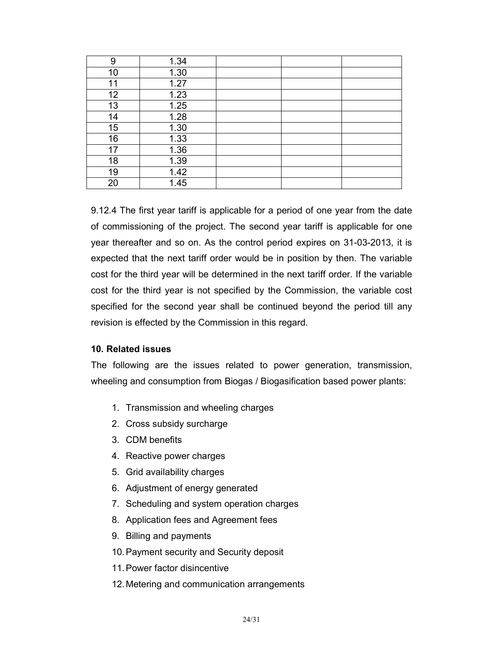| 9  | 1.34 |  |  |
|----|------|--|--|
| 10 | 1.30 |  |  |
| 11 | 1.27 |  |  |
| 12 | 1.23 |  |  |
| 13 | 1.25 |  |  |
| 14 | 1.28 |  |  |
| 15 | 1.30 |  |  |
| 16 | 1.33 |  |  |
| 17 | 1.36 |  |  |
| 18 | 1.39 |  |  |
| 19 | 1.42 |  |  |
| 20 | 1.45 |  |  |

9.12.4 The first year tariff is applicable for a period of one year from the date of commissioning of the project. The second year tariff is applicable for one year thereafter and so on. As the control period expires on 31-03-2013, it is expected that the next tariff order would be in position by then. The variable cost for the third year will be determined in the next tariff order. If the variable cost for the third year is not specified by the Commission, the variable cost specified for the second year shall be continued beyond the period till any revision is effected by the Commission in this regard.

# 10. Related issues

The following are the issues related to power generation, transmission, wheeling and consumption from Biogas / Biogasification based power plants:

- 1. Transmission and wheeling charges
- 2. Cross subsidy surcharge
- 3. CDM benefits
- 4. Reactive power charges
- 5. Grid availability charges
- 6. Adjustment of energy generated
- 7. Scheduling and system operation charges
- 8. Application fees and Agreement fees
- 9. Billing and payments
- 10. Payment security and Security deposit
- 11. Power factor disincentive
- 12. Metering and communication arrangements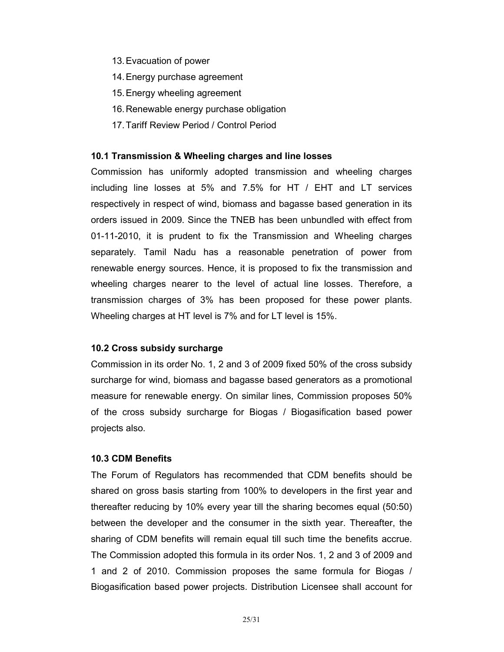- 13. Evacuation of power
- 14. Energy purchase agreement
- 15. Energy wheeling agreement
- 16. Renewable energy purchase obligation
- 17. Tariff Review Period / Control Period

### 10.1 Transmission & Wheeling charges and line losses

Commission has uniformly adopted transmission and wheeling charges including line losses at 5% and 7.5% for HT / EHT and LT services respectively in respect of wind, biomass and bagasse based generation in its orders issued in 2009. Since the TNEB has been unbundled with effect from 01-11-2010, it is prudent to fix the Transmission and Wheeling charges separately. Tamil Nadu has a reasonable penetration of power from renewable energy sources. Hence, it is proposed to fix the transmission and wheeling charges nearer to the level of actual line losses. Therefore, a transmission charges of 3% has been proposed for these power plants. Wheeling charges at HT level is 7% and for LT level is 15%.

### 10.2 Cross subsidy surcharge

Commission in its order No. 1, 2 and 3 of 2009 fixed 50% of the cross subsidy surcharge for wind, biomass and bagasse based generators as a promotional measure for renewable energy. On similar lines, Commission proposes 50% of the cross subsidy surcharge for Biogas / Biogasification based power projects also.

### 10.3 CDM Benefits

The Forum of Regulators has recommended that CDM benefits should be shared on gross basis starting from 100% to developers in the first year and thereafter reducing by 10% every year till the sharing becomes equal (50:50) between the developer and the consumer in the sixth year. Thereafter, the sharing of CDM benefits will remain equal till such time the benefits accrue. The Commission adopted this formula in its order Nos. 1, 2 and 3 of 2009 and 1 and 2 of 2010. Commission proposes the same formula for Biogas / Biogasification based power projects. Distribution Licensee shall account for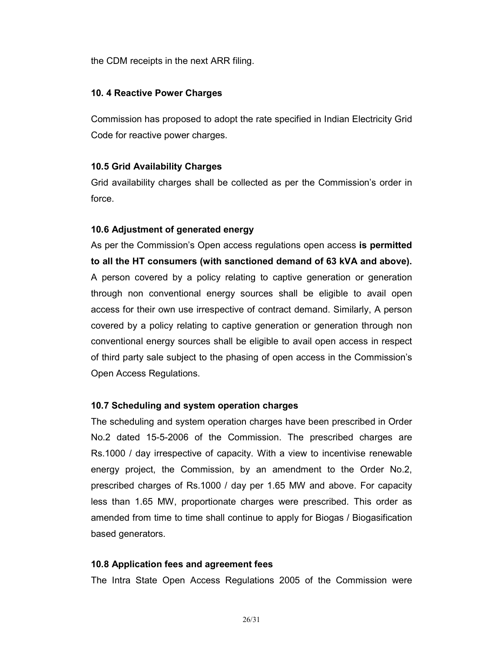the CDM receipts in the next ARR filing.

# 10. 4 Reactive Power Charges

Commission has proposed to adopt the rate specified in Indian Electricity Grid Code for reactive power charges.

# 10.5 Grid Availability Charges

Grid availability charges shall be collected as per the Commission's order in force.

### 10.6 Adjustment of generated energy

As per the Commission's Open access regulations open access is permitted to all the HT consumers (with sanctioned demand of 63 kVA and above). A person covered by a policy relating to captive generation or generation through non conventional energy sources shall be eligible to avail open access for their own use irrespective of contract demand. Similarly, A person covered by a policy relating to captive generation or generation through non conventional energy sources shall be eligible to avail open access in respect of third party sale subject to the phasing of open access in the Commission's Open Access Regulations.

### 10.7 Scheduling and system operation charges

The scheduling and system operation charges have been prescribed in Order No.2 dated 15-5-2006 of the Commission. The prescribed charges are Rs.1000 / day irrespective of capacity. With a view to incentivise renewable energy project, the Commission, by an amendment to the Order No.2, prescribed charges of Rs.1000 / day per 1.65 MW and above. For capacity less than 1.65 MW, proportionate charges were prescribed. This order as amended from time to time shall continue to apply for Biogas / Biogasification based generators.

### 10.8 Application fees and agreement fees

The Intra State Open Access Regulations 2005 of the Commission were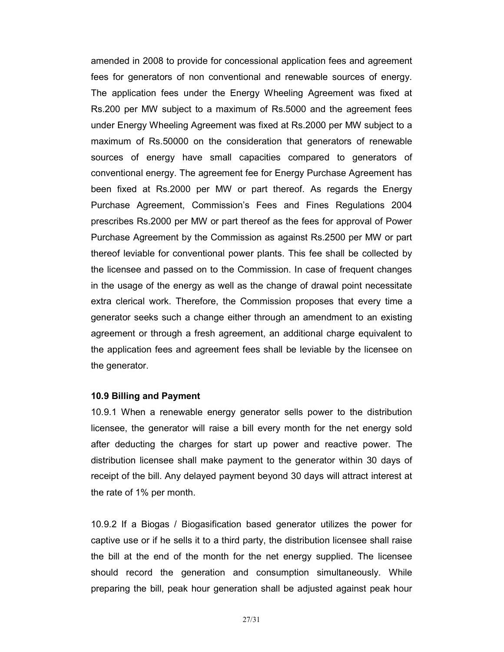amended in 2008 to provide for concessional application fees and agreement fees for generators of non conventional and renewable sources of energy. The application fees under the Energy Wheeling Agreement was fixed at Rs.200 per MW subject to a maximum of Rs.5000 and the agreement fees under Energy Wheeling Agreement was fixed at Rs.2000 per MW subject to a maximum of Rs.50000 on the consideration that generators of renewable sources of energy have small capacities compared to generators of conventional energy. The agreement fee for Energy Purchase Agreement has been fixed at Rs.2000 per MW or part thereof. As regards the Energy Purchase Agreement, Commission's Fees and Fines Regulations 2004 prescribes Rs.2000 per MW or part thereof as the fees for approval of Power Purchase Agreement by the Commission as against Rs.2500 per MW or part thereof leviable for conventional power plants. This fee shall be collected by the licensee and passed on to the Commission. In case of frequent changes in the usage of the energy as well as the change of drawal point necessitate extra clerical work. Therefore, the Commission proposes that every time a generator seeks such a change either through an amendment to an existing agreement or through a fresh agreement, an additional charge equivalent to the application fees and agreement fees shall be leviable by the licensee on the generator.

#### 10.9 Billing and Payment

10.9.1 When a renewable energy generator sells power to the distribution licensee, the generator will raise a bill every month for the net energy sold after deducting the charges for start up power and reactive power. The distribution licensee shall make payment to the generator within 30 days of receipt of the bill. Any delayed payment beyond 30 days will attract interest at the rate of 1% per month.

10.9.2 If a Biogas / Biogasification based generator utilizes the power for captive use or if he sells it to a third party, the distribution licensee shall raise the bill at the end of the month for the net energy supplied. The licensee should record the generation and consumption simultaneously. While preparing the bill, peak hour generation shall be adjusted against peak hour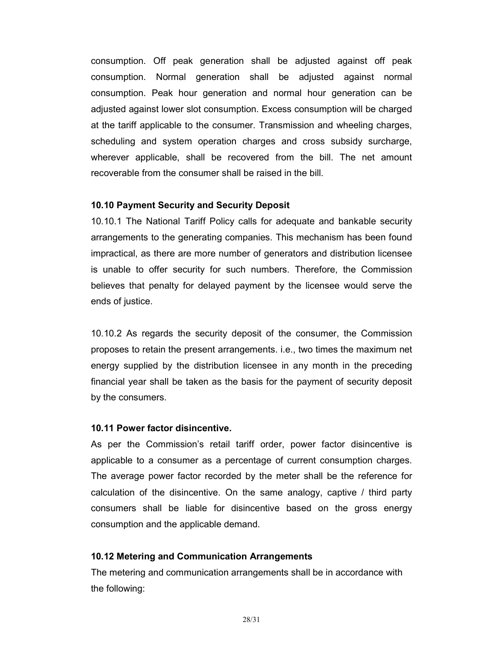consumption. Off peak generation shall be adjusted against off peak consumption. Normal generation shall be adjusted against normal consumption. Peak hour generation and normal hour generation can be adjusted against lower slot consumption. Excess consumption will be charged at the tariff applicable to the consumer. Transmission and wheeling charges, scheduling and system operation charges and cross subsidy surcharge, wherever applicable, shall be recovered from the bill. The net amount recoverable from the consumer shall be raised in the bill.

### 10.10 Payment Security and Security Deposit

10.10.1 The National Tariff Policy calls for adequate and bankable security arrangements to the generating companies. This mechanism has been found impractical, as there are more number of generators and distribution licensee is unable to offer security for such numbers. Therefore, the Commission believes that penalty for delayed payment by the licensee would serve the ends of justice.

10.10.2 As regards the security deposit of the consumer, the Commission proposes to retain the present arrangements. i.e., two times the maximum net energy supplied by the distribution licensee in any month in the preceding financial year shall be taken as the basis for the payment of security deposit by the consumers.

#### 10.11 Power factor disincentive.

As per the Commission's retail tariff order, power factor disincentive is applicable to a consumer as a percentage of current consumption charges. The average power factor recorded by the meter shall be the reference for calculation of the disincentive. On the same analogy, captive / third party consumers shall be liable for disincentive based on the gross energy consumption and the applicable demand.

#### 10.12 Metering and Communication Arrangements

The metering and communication arrangements shall be in accordance with the following: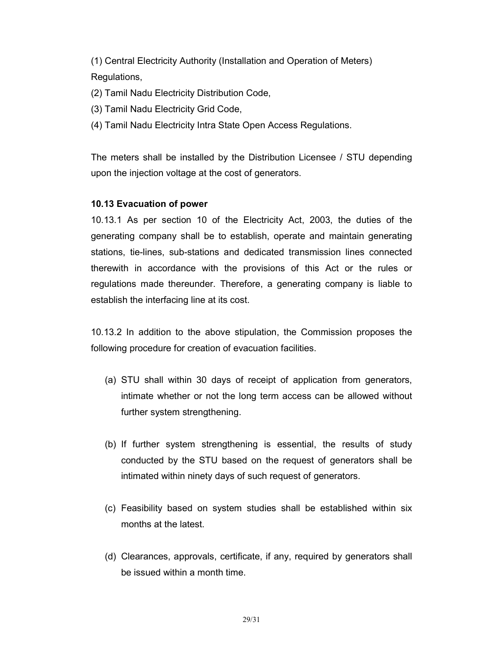(1) Central Electricity Authority (Installation and Operation of Meters) Regulations,

(2) Tamil Nadu Electricity Distribution Code,

- (3) Tamil Nadu Electricity Grid Code,
- (4) Tamil Nadu Electricity Intra State Open Access Regulations.

The meters shall be installed by the Distribution Licensee / STU depending upon the injection voltage at the cost of generators.

# 10.13 Evacuation of power

10.13.1 As per section 10 of the Electricity Act, 2003, the duties of the generating company shall be to establish, operate and maintain generating stations, tie-lines, sub-stations and dedicated transmission lines connected therewith in accordance with the provisions of this Act or the rules or regulations made thereunder. Therefore, a generating company is liable to establish the interfacing line at its cost.

10.13.2 In addition to the above stipulation, the Commission proposes the following procedure for creation of evacuation facilities.

- (a) STU shall within 30 days of receipt of application from generators, intimate whether or not the long term access can be allowed without further system strengthening.
- (b) If further system strengthening is essential, the results of study conducted by the STU based on the request of generators shall be intimated within ninety days of such request of generators.
- (c) Feasibility based on system studies shall be established within six months at the latest.
- (d) Clearances, approvals, certificate, if any, required by generators shall be issued within a month time.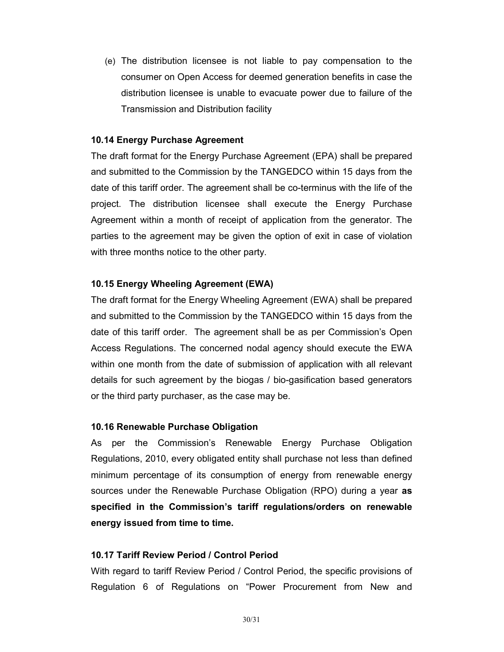(e) The distribution licensee is not liable to pay compensation to the consumer on Open Access for deemed generation benefits in case the distribution licensee is unable to evacuate power due to failure of the Transmission and Distribution facility

### 10.14 Energy Purchase Agreement

The draft format for the Energy Purchase Agreement (EPA) shall be prepared and submitted to the Commission by the TANGEDCO within 15 days from the date of this tariff order. The agreement shall be co-terminus with the life of the project. The distribution licensee shall execute the Energy Purchase Agreement within a month of receipt of application from the generator. The parties to the agreement may be given the option of exit in case of violation with three months notice to the other party.

# 10.15 Energy Wheeling Agreement (EWA)

The draft format for the Energy Wheeling Agreement (EWA) shall be prepared and submitted to the Commission by the TANGEDCO within 15 days from the date of this tariff order. The agreement shall be as per Commission's Open Access Regulations. The concerned nodal agency should execute the EWA within one month from the date of submission of application with all relevant details for such agreement by the biogas / bio-gasification based generators or the third party purchaser, as the case may be.

### 10.16 Renewable Purchase Obligation

As per the Commission's Renewable Energy Purchase Obligation Regulations, 2010, every obligated entity shall purchase not less than defined minimum percentage of its consumption of energy from renewable energy sources under the Renewable Purchase Obligation (RPO) during a year **as** specified in the Commission's tariff regulations/orders on renewable energy issued from time to time.

### 10.17 Tariff Review Period / Control Period

With regard to tariff Review Period / Control Period, the specific provisions of Regulation 6 of Regulations on "Power Procurement from New and